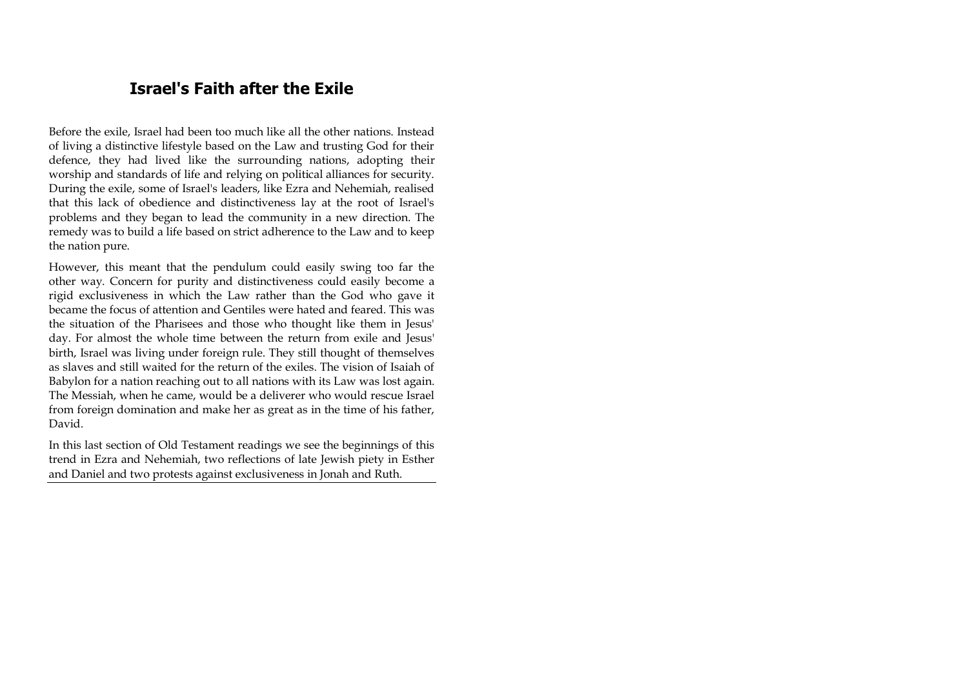# **Israel's Faith after the Exile**

Before the exile, Israel had been too much like all the other nations. Instead of living a distinctive lifestyle based on the Law and trusting God for their defence, they had lived like the surrounding nations, adopting their worship and standards of life and relying on political alliances for security. During the exile, some of Israel's leaders, like Ezra and Nehemiah, realised that this lack of obedience and distinctiveness lay at the root of Israel's problems and they began to lead the community in a new direction. The remedy was to build a life based on strict adherence to the Law and to keep the nation pure.

However, this meant that the pendulum could easily swing too far the other way. Concern for purity and distinctiveness could easily become a rigid exclusiveness in which the Law rather than the God who gave it became the focus of attention and Gentiles were hated and feared. This was the situation of the Pharisees and those who thought like them in Jesus' day. For almost the whole time between the return from exile and Jesus' birth, Israel was living under foreign rule. They still thought of themselves as slaves and still waited for the return of the exiles. The vision of Isaiah of Babylon for a nation reaching out to all nations with its Law was lost again. The Messiah, when he came, would be a deliverer who would rescue Israel from foreign domination and make her as great as in the time of his father, David.

In this last section of Old Testament readings we see the beginnings of this trend in Ezra and Nehemiah, two reflections of late Jewish piety in Esther and Daniel and two protests against exclusiveness in Jonah and Ruth.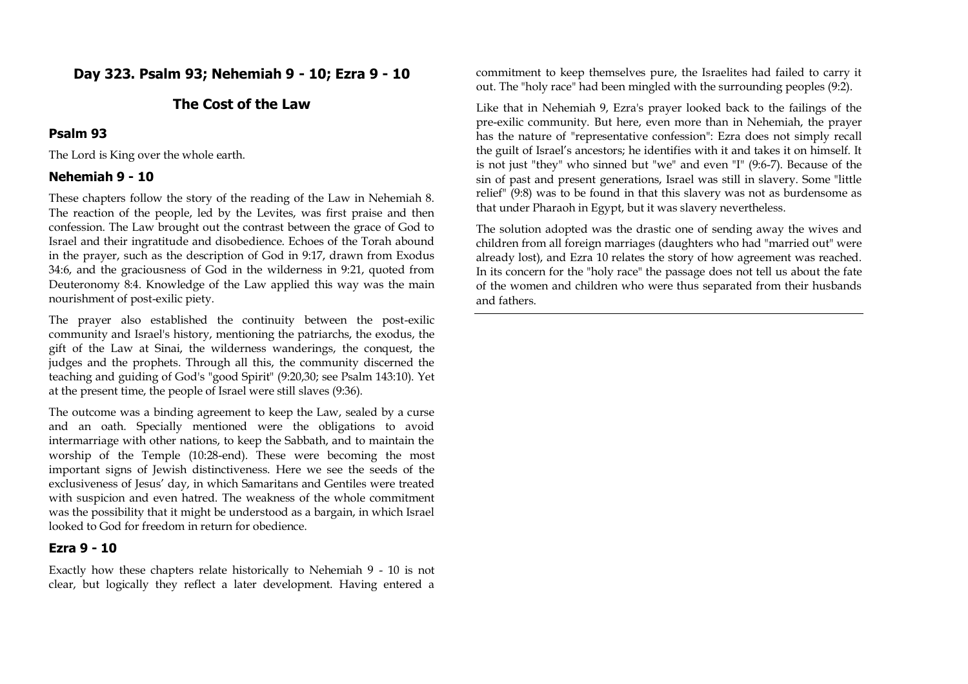# **Day 323. Psalm 93; Nehemiah 9 - 10; Ezra 9 - 10**

# **The Cost of the Law**

#### **Psalm 93**

The Lord is King over the whole earth.

#### **Nehemiah 9 - 10**

These chapters follow the story of the reading of the Law in Nehemiah 8. The reaction of the people, led by the Levites, was first praise and then confession. The Law brought out the contrast between the grace of God to Israel and their ingratitude and disobedience. Echoes of the Torah abound in the prayer, such as the description of God in 9:17, drawn from Exodus 34:6, and the graciousness of God in the wilderness in 9:21, quoted from Deuteronomy 8:4. Knowledge of the Law applied this way was the main nourishment of post-exilic piety.

The prayer also established the continuity between the post-exilic community and Israel's history, mentioning the patriarchs, the exodus, the gift of the Law at Sinai, the wilderness wanderings, the conquest, the judges and the prophets. Through all this, the community discerned the teaching and guiding of God's "good Spirit" (9:20,30; see Psalm 143:10). Yet at the present time, the people of Israel were still slaves (9:36).

The outcome was a binding agreement to keep the Law, sealed by a curse and an oath. Specially mentioned were the obligations to avoid intermarriage with other nations, to keep the Sabbath, and to maintain the worship of the Temple (10:28-end). These were becoming the most important signs of Jewish distinctiveness. Here we see the seeds of the exclusiveness of Jesus' day, in which Samaritans and Gentiles were treated with suspicion and even hatred. The weakness of the whole commitment was the possibility that it might be understood as a bargain, in which Israel looked to God for freedom in return for obedience.

#### **Ezra 9 - 10**

Exactly how these chapters relate historically to Nehemiah 9 - 10 is not clear, but logically they reflect a later development. Having entered a

commitment to keep themselves pure, the Israelites had failed to carry it out. The "holy race" had been mingled with the surrounding peoples (9:2).

Like that in Nehemiah 9, Ezra's prayer looked back to the failings of the pre-exilic community. But here, even more than in Nehemiah, the prayer has the nature of "representative confession": Ezra does not simply recall the guilt of Israel's ancestors; he identifies with it and takes it on himself. It is not just "they" who sinned but "we" and even "I" (9:6-7). Because of the sin of past and present generations, Israel was still in slavery. Some "little relief" (9:8) was to be found in that this slavery was not as burdensome as that under Pharaoh in Egypt, but it was slavery nevertheless.

The solution adopted was the drastic one of sending away the wives and children from all foreign marriages (daughters who had "married out" were already lost), and Ezra 10 relates the story of how agreement was reached. In its concern for the "holy race" the passage does not tell us about the fate of the women and children who were thus separated from their husbands and fathers.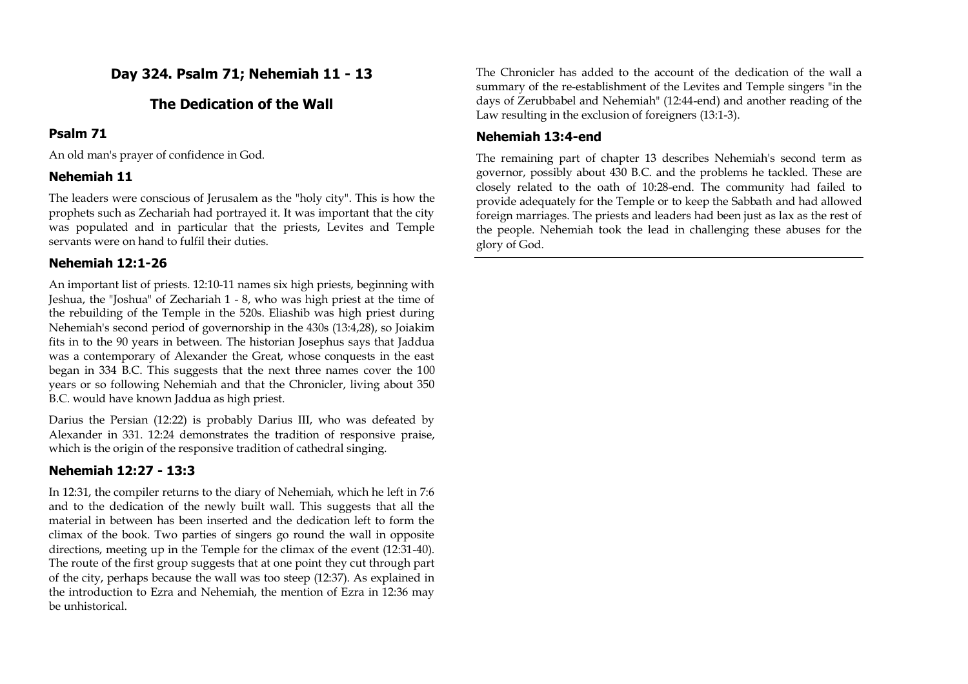# **Day 324. Psalm 71; Nehemiah 11 - 13**

# **The Dedication of the Wall**

# **Psalm 71**

An old man's prayer of confidence in God.

# **Nehemiah 11**

The leaders were conscious of Jerusalem as the "holy city". This is how the prophets such as Zechariah had portrayed it. It was important that the city was populated and in particular that the priests, Levites and Temple servants were on hand to fulfil their duties.

# **Nehemiah 12:1-26**

An important list of priests. 12:10-11 names six high priests, beginning with Jeshua, the "Joshua" of Zechariah 1 - 8, who was high priest at the time of the rebuilding of the Temple in the 520s. Eliashib was high priest during Nehemiah's second period of governorship in the 430s (13:4,28), so Joiakim fits in to the 90 years in between. The historian Josephus says that Jaddua was a contemporary of Alexander the Great, whose conquests in the east began in 334 B.C. This suggests that the next three names cover the 100 years or so following Nehemiah and that the Chronicler, living about 350 B.C. would have known Jaddua as high priest.

Darius the Persian (12:22) is probably Darius III, who was defeated by Alexander in 331. 12:24 demonstrates the tradition of responsive praise, which is the origin of the responsive tradition of cathedral singing.

# **Nehemiah 12:27 - 13:3**

In 12:31, the compiler returns to the diary of Nehemiah, which he left in 7:6 and to the dedication of the newly built wall. This suggests that all the material in between has been inserted and the dedication left to form the climax of the book. Two parties of singers go round the wall in opposite directions, meeting up in the Temple for the climax of the event (12:31-40). The route of the first group suggests that at one point they cut through part of the city, perhaps because the wall was too steep (12:37). As explained in the introduction to Ezra and Nehemiah, the mention of Ezra in 12:36 may be unhistorical.

The Chronicler has added to the account of the dedication of the wall a summary of the re-establishment of the Levites and Temple singers "in the days of Zerubbabel and Nehemiah" (12:44-end) and another reading of the Law resulting in the exclusion of foreigners (13:1-3).

# **Nehemiah 13:4-end**

The remaining part of chapter 13 describes Nehemiah's second term as governor, possibly about 430 B.C. and the problems he tackled. These are closely related to the oath of 10:28-end. The community had failed to provide adequately for the Temple or to keep the Sabbath and had allowed foreign marriages. The priests and leaders had been just as lax as the rest of the people. Nehemiah took the lead in challenging these abuses for the glory of God.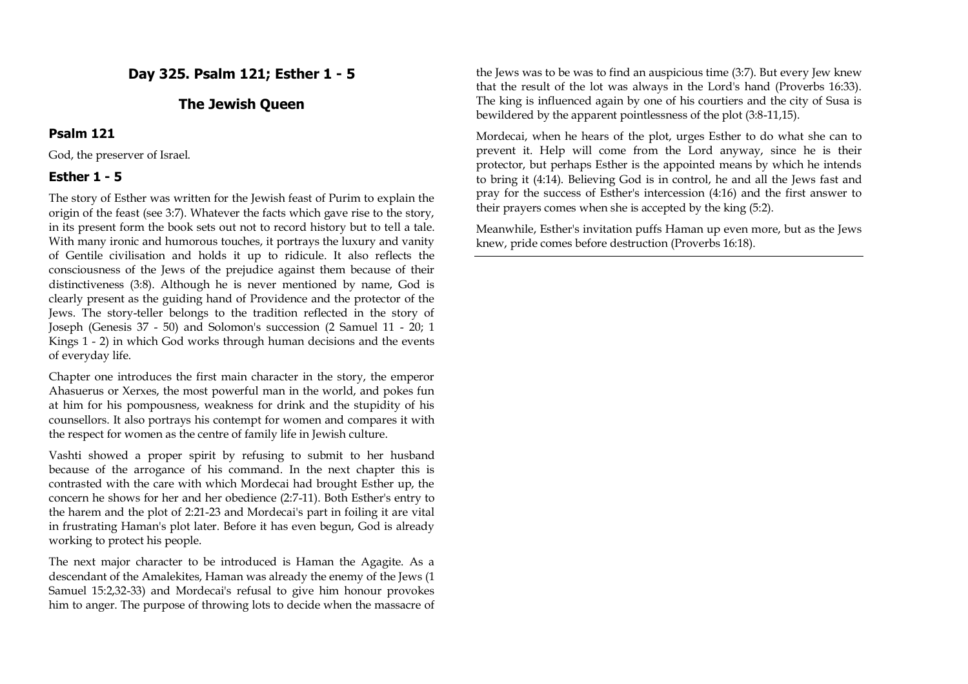# **Day 325. Psalm 121; Esther 1 - 5**

# **The Jewish Queen**

#### **Psalm 121**

God, the preserver of Israel.

#### **Esther 1 - 5**

The story of Esther was written for the Jewish feast of Purim to explain the origin of the feast (see 3:7). Whatever the facts which gave rise to the story, in its present form the book sets out not to record history but to tell a tale. With many ironic and humorous touches, it portrays the luxury and vanity of Gentile civilisation and holds it up to ridicule. It also reflects the consciousness of the Jews of the prejudice against them because of their distinctiveness (3:8). Although he is never mentioned by name, God is clearly present as the guiding hand of Providence and the protector of the Jews. The story-teller belongs to the tradition reflected in the story of Joseph (Genesis 37 - 50) and Solomon's succession (2 Samuel 11 - 20; 1 Kings 1 - 2) in which God works through human decisions and the events of everyday life.

Chapter one introduces the first main character in the story, the emperor Ahasuerus or Xerxes, the most powerful man in the world, and pokes fun at him for his pompousness, weakness for drink and the stupidity of his counsellors. It also portrays his contempt for women and compares it with the respect for women as the centre of family life in Jewish culture.

Vashti showed a proper spirit by refusing to submit to her husband because of the arrogance of his command. In the next chapter this is contrasted with the care with which Mordecai had brought Esther up, the concern he shows for her and her obedience (2:7-11). Both Esther's entry to the harem and the plot of 2:21-23 and Mordecai's part in foiling it are vital in frustrating Haman's plot later. Before it has even begun, God is already working to protect his people.

The next major character to be introduced is Haman the Agagite. As a descendant of the Amalekites, Haman was already the enemy of the Jews (1 Samuel 15:2,32-33) and Mordecai's refusal to give him honour provokes him to anger. The purpose of throwing lots to decide when the massacre of

the Jews was to be was to find an auspicious time (3:7). But every Jew knew that the result of the lot was always in the Lord's hand (Proverbs 16:33). The king is influenced again by one of his courtiers and the city of Susa is bewildered by the apparent pointlessness of the plot (3:8-11,15).

Mordecai, when he hears of the plot, urges Esther to do what she can to prevent it. Help will come from the Lord anyway, since he is their protector, but perhaps Esther is the appointed means by which he intends to bring it (4:14). Believing God is in control, he and all the Jews fast and pray for the success of Esther's intercession (4:16) and the first answer to their prayers comes when she is accepted by the king (5:2).

Meanwhile, Esther's invitation puffs Haman up even more, but as the Jews knew, pride comes before destruction (Proverbs 16:18).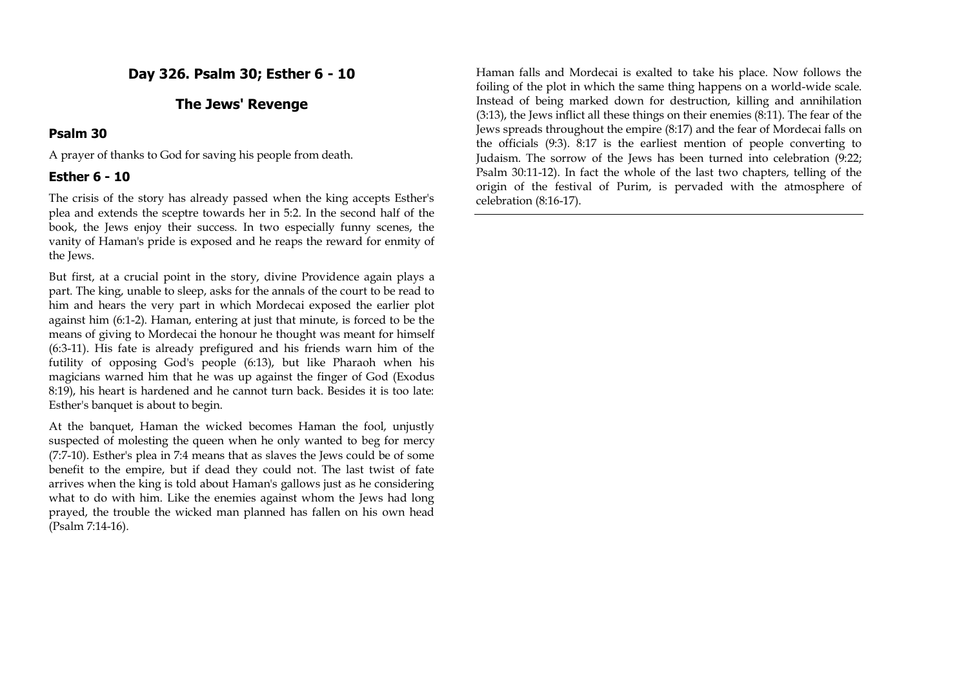**Day 326. Psalm 30; Esther 6 - 10**

## **The Jews' Revenge**

## **Psalm 30**

A prayer of thanks to God for saving his people from death.

# **Esther 6 - 10**

The crisis of the story has already passed when the king accepts Esther's plea and extends the sceptre towards her in 5:2. In the second half of the book, the Jews enjoy their success. In two especially funny scenes, the vanity of Haman's pride is exposed and he reaps the reward for enmity of the Jews.

But first, at a crucial point in the story, divine Providence again plays a part. The king, unable to sleep, asks for the annals of the court to be read to him and hears the very part in which Mordecai exposed the earlier plot against him (6:1-2). Haman, entering at just that minute, is forced to be the means of giving to Mordecai the honour he thought was meant for himself (6:3-11). His fate is already prefigured and his friends warn him of the futility of opposing God's people (6:13), but like Pharaoh when his magicians warned him that he was up against the finger of God (Exodus 8:19), his heart is hardened and he cannot turn back. Besides it is too late: Esther's banquet is about to begin.

At the banquet, Haman the wicked becomes Haman the fool, unjustly suspected of molesting the queen when he only wanted to beg for mercy (7:7-10). Esther's plea in 7:4 means that as slaves the Jews could be of some benefit to the empire, but if dead they could not. The last twist of fate arrives when the king is told about Haman's gallows just as he considering what to do with him. Like the enemies against whom the Jews had long prayed, the trouble the wicked man planned has fallen on his own head (Psalm 7:14-16).

Haman falls and Mordecai is exalted to take his place. Now follows the foiling of the plot in which the same thing happens on a world-wide scale. Instead of being marked down for destruction, killing and annihilation (3:13), the Jews inflict all these things on their enemies (8:11). The fear of the Jews spreads throughout the empire (8:17) and the fear of Mordecai falls on the officials (9:3). 8:17 is the earliest mention of people converting to Judaism. The sorrow of the Jews has been turned into celebration (9:22; Psalm 30:11-12). In fact the whole of the last two chapters, telling of the origin of the festival of Purim, is pervaded with the atmosphere of celebration (8:16-17).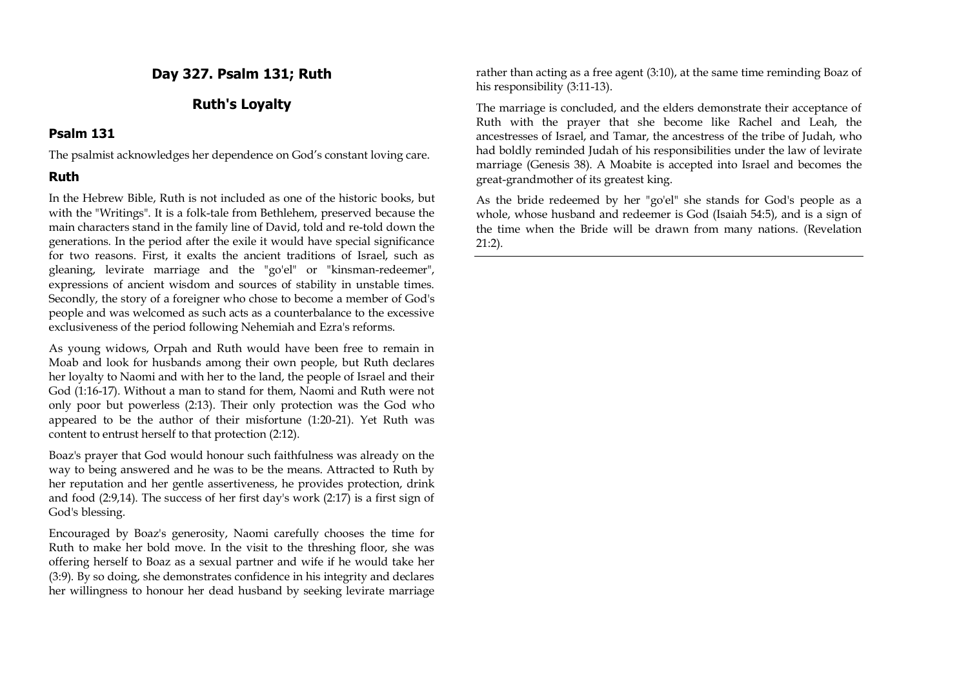# **Day 327. Psalm 131; Ruth**

# **Ruth's Loyalty**

#### **Psalm 131**

The psalmist acknowledges her dependence on God's constant loving care.

# **Ruth**

In the Hebrew Bible, Ruth is not included as one of the historic books, but with the "Writings". It is a folk-tale from Bethlehem, preserved because the main characters stand in the family line of David, told and re-told down the generations. In the period after the exile it would have special significance for two reasons. First, it exalts the ancient traditions of Israel, such as gleaning, levirate marriage and the "go'el" or "kinsman-redeemer", expressions of ancient wisdom and sources of stability in unstable times. Secondly, the story of a foreigner who chose to become a member of God's people and was welcomed as such acts as a counterbalance to the excessive exclusiveness of the period following Nehemiah and Ezra's reforms.

As young widows, Orpah and Ruth would have been free to remain in Moab and look for husbands among their own people, but Ruth declares her loyalty to Naomi and with her to the land, the people of Israel and their God (1:16-17). Without a man to stand for them, Naomi and Ruth were not only poor but powerless (2:13). Their only protection was the God who appeared to be the author of their misfortune (1:20-21). Yet Ruth was content to entrust herself to that protection (2:12).

Boaz's prayer that God would honour such faithfulness was already on the way to being answered and he was to be the means. Attracted to Ruth by her reputation and her gentle assertiveness, he provides protection, drink and food (2:9,14). The success of her first day's work (2:17) is a first sign of God's blessing.

Encouraged by Boaz's generosity, Naomi carefully chooses the time for Ruth to make her bold move. In the visit to the threshing floor, she was offering herself to Boaz as a sexual partner and wife if he would take her (3:9). By so doing, she demonstrates confidence in his integrity and declares her willingness to honour her dead husband by seeking levirate marriage rather than acting as a free agent (3:10), at the same time reminding Boaz of his responsibility (3:11-13).

The marriage is concluded, and the elders demonstrate their acceptance of Ruth with the prayer that she become like Rachel and Leah, the ancestresses of Israel, and Tamar, the ancestress of the tribe of Judah, who had boldly reminded Judah of his responsibilities under the law of levirate marriage (Genesis 38). A Moabite is accepted into Israel and becomes the great-grandmother of its greatest king.

As the bride redeemed by her "go'el" she stands for God's people as a whole, whose husband and redeemer is God (Isaiah 54:5), and is a sign of the time when the Bride will be drawn from many nations. (Revelation 21:2).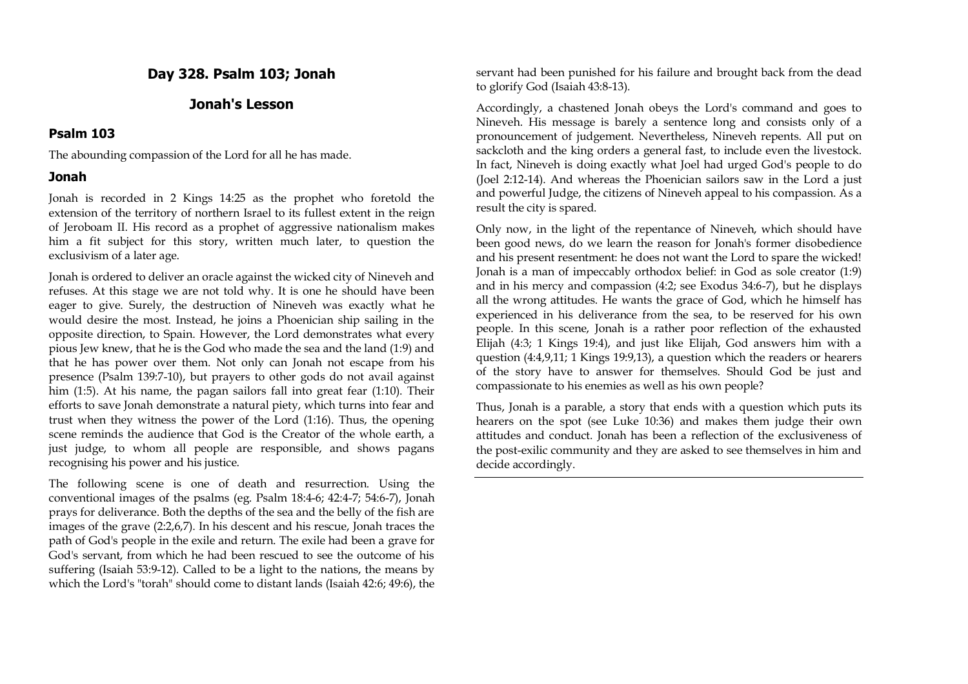# **Day 328. Psalm 103; Jonah**

# **Jonah's Lesson**

#### **Psalm 103**

The abounding compassion of the Lord for all he has made.

#### **Jonah**

Jonah is recorded in 2 Kings 14:25 as the prophet who foretold the extension of the territory of northern Israel to its fullest extent in the reign of Jeroboam II. His record as a prophet of aggressive nationalism makes him a fit subject for this story, written much later, to question the exclusivism of a later age.

Jonah is ordered to deliver an oracle against the wicked city of Nineveh and refuses. At this stage we are not told why. It is one he should have been eager to give. Surely, the destruction of Nineveh was exactly what he would desire the most. Instead, he joins a Phoenician ship sailing in the opposite direction, to Spain. However, the Lord demonstrates what every pious Jew knew, that he is the God who made the sea and the land (1:9) and that he has power over them. Not only can Jonah not escape from his presence (Psalm 139:7-10), but prayers to other gods do not avail against him (1:5). At his name, the pagan sailors fall into great fear (1:10). Their efforts to save Jonah demonstrate a natural piety, which turns into fear and trust when they witness the power of the Lord (1:16). Thus, the opening scene reminds the audience that God is the Creator of the whole earth, a just judge, to whom all people are responsible, and shows pagans recognising his power and his justice.

The following scene is one of death and resurrection. Using the conventional images of the psalms (eg. Psalm 18:4-6; 42:4-7; 54:6-7), Jonah prays for deliverance. Both the depths of the sea and the belly of the fish are images of the grave (2:2,6,7). In his descent and his rescue, Jonah traces the path of God's people in the exile and return. The exile had been a grave for God's servant, from which he had been rescued to see the outcome of his suffering (Isaiah 53:9-12). Called to be a light to the nations, the means by which the Lord's "torah" should come to distant lands (Isaiah 42:6; 49:6), the

servant had been punished for his failure and brought back from the dead to glorify God (Isaiah 43:8-13).

Accordingly, a chastened Jonah obeys the Lord's command and goes to Nineveh. His message is barely a sentence long and consists only of a pronouncement of judgement. Nevertheless, Nineveh repents. All put on sackcloth and the king orders a general fast, to include even the livestock. In fact, Nineveh is doing exactly what Joel had urged God's people to do (Joel 2:12-14). And whereas the Phoenician sailors saw in the Lord a just and powerful Judge, the citizens of Nineveh appeal to his compassion. As a result the city is spared.

Only now, in the light of the repentance of Nineveh, which should have been good news, do we learn the reason for Jonah's former disobedience and his present resentment: he does not want the Lord to spare the wicked! Jonah is a man of impeccably orthodox belief: in God as sole creator (1:9) and in his mercy and compassion (4:2; see Exodus 34:6-7), but he displays all the wrong attitudes. He wants the grace of God, which he himself has experienced in his deliverance from the sea, to be reserved for his own people. In this scene, Jonah is a rather poor reflection of the exhausted Elijah (4:3; 1 Kings 19:4), and just like Elijah, God answers him with a question (4:4,9,11; 1 Kings 19:9,13), a question which the readers or hearers of the story have to answer for themselves. Should God be just and compassionate to his enemies as well as his own people?

Thus, Jonah is a parable, a story that ends with a question which puts its hearers on the spot (see Luke 10:36) and makes them judge their own attitudes and conduct. Jonah has been a reflection of the exclusiveness of the post-exilic community and they are asked to see themselves in him and decide accordingly.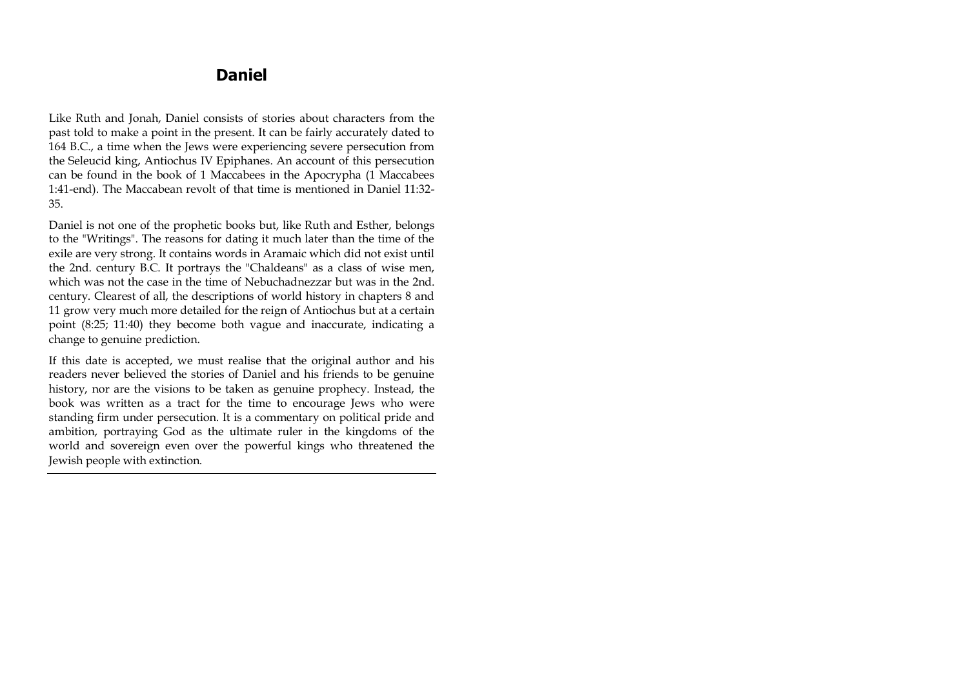# **Daniel**

Like Ruth and Jonah, Daniel consists of stories about characters from the past told to make a point in the present. It can be fairly accurately dated to 164 B.C., a time when the Jews were experiencing severe persecution from the Seleucid king, Antiochus IV Epiphanes. An account of this persecution can be found in the book of 1 Maccabees in the Apocrypha (1 Maccabees 1:41-end). The Maccabean revolt of that time is mentioned in Daniel 11:32- 35.

Daniel is not one of the prophetic books but, like Ruth and Esther, belongs to the "Writings". The reasons for dating it much later than the time of the exile are very strong. It contains words in Aramaic which did not exist until the 2nd. century B.C. It portrays the "Chaldeans" as a class of wise men, which was not the case in the time of Nebuchadnezzar but was in the 2nd. century. Clearest of all, the descriptions of world history in chapters 8 and 11 grow very much more detailed for the reign of Antiochus but at a certain point (8:25; 11:40) they become both vague and inaccurate, indicating a change to genuine prediction.

If this date is accepted, we must realise that the original author and his readers never believed the stories of Daniel and his friends to be genuine history, nor are the visions to be taken as genuine prophecy. Instead, the book was written as a tract for the time to encourage Jews who were standing firm under persecution. It is a commentary on political pride and ambition, portraying God as the ultimate ruler in the kingdoms of the world and sovereign even over the powerful kings who threatened the Jewish people with extinction.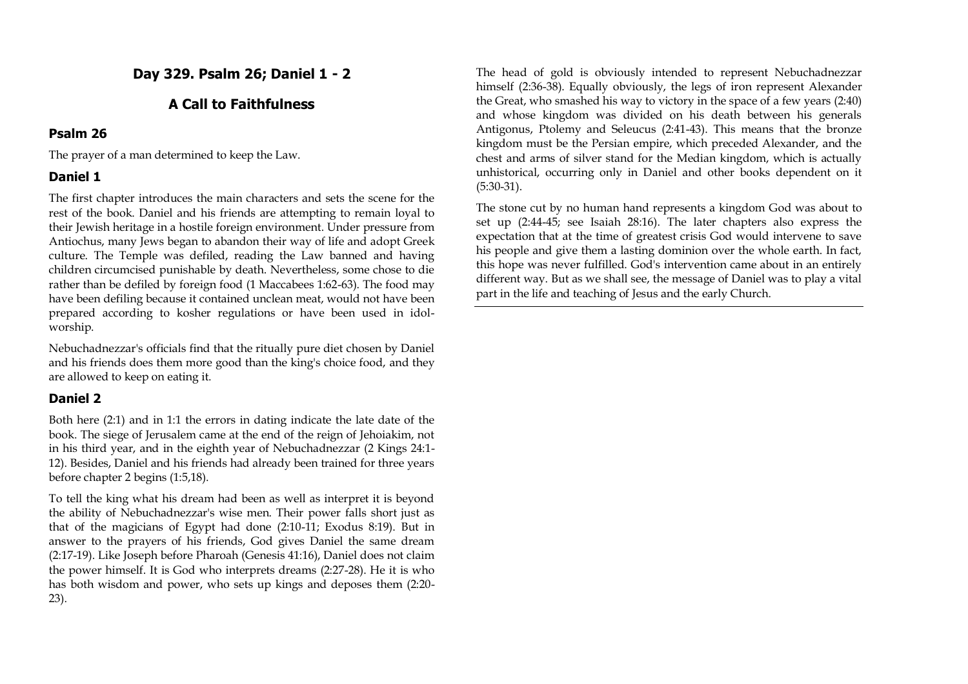**Day 329. Psalm 26; Daniel 1 - 2**

# **A Call to Faithfulness**

#### **Psalm 26**

The prayer of a man determined to keep the Law.

# **Daniel 1**

The first chapter introduces the main characters and sets the scene for the rest of the book. Daniel and his friends are attempting to remain loyal to their Jewish heritage in a hostile foreign environment. Under pressure from Antiochus, many Jews began to abandon their way of life and adopt Greek culture. The Temple was defiled, reading the Law banned and having children circumcised punishable by death. Nevertheless, some chose to die rather than be defiled by foreign food (1 Maccabees 1:62-63). The food may have been defiling because it contained unclean meat, would not have been prepared according to kosher regulations or have been used in idolworship.

Nebuchadnezzar's officials find that the ritually pure diet chosen by Daniel and his friends does them more good than the king's choice food, and they are allowed to keep on eating it.

# **Daniel 2**

Both here (2:1) and in 1:1 the errors in dating indicate the late date of the book. The siege of Jerusalem came at the end of the reign of Jehoiakim, not in his third year, and in the eighth year of Nebuchadnezzar (2 Kings 24:1- 12). Besides, Daniel and his friends had already been trained for three years before chapter 2 begins (1:5,18).

To tell the king what his dream had been as well as interpret it is beyond the ability of Nebuchadnezzar's wise men. Their power falls short just as that of the magicians of Egypt had done (2:10-11; Exodus 8:19). But in answer to the prayers of his friends, God gives Daniel the same dream (2:17-19). Like Joseph before Pharoah (Genesis 41:16), Daniel does not claim the power himself. It is God who interprets dreams (2:27-28). He it is who has both wisdom and power, who sets up kings and deposes them (2:20- 23).

The head of gold is obviously intended to represent Nebuchadnezzar himself (2:36-38). Equally obviously, the legs of iron represent Alexander the Great, who smashed his way to victory in the space of a few years (2:40) and whose kingdom was divided on his death between his generals Antigonus, Ptolemy and Seleucus (2:41-43). This means that the bronze kingdom must be the Persian empire, which preceded Alexander, and the chest and arms of silver stand for the Median kingdom, which is actually unhistorical, occurring only in Daniel and other books dependent on it (5:30-31).

The stone cut by no human hand represents a kingdom God was about to set up (2:44-45; see Isaiah 28:16). The later chapters also express the expectation that at the time of greatest crisis God would intervene to save his people and give them a lasting dominion over the whole earth. In fact, this hope was never fulfilled. God's intervention came about in an entirely different way. But as we shall see, the message of Daniel was to play a vital part in the life and teaching of Jesus and the early Church.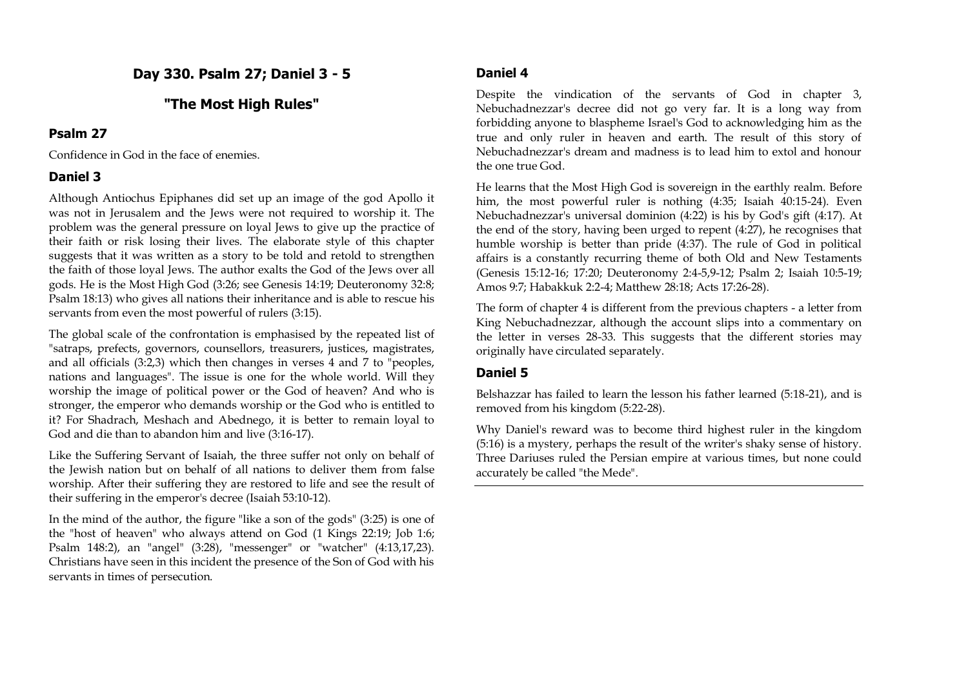# **Day 330. Psalm 27; Daniel 3 - 5**

# **"The Most High Rules"**

#### **Psalm 27**

Confidence in God in the face of enemies.

# **Daniel 3**

Although Antiochus Epiphanes did set up an image of the god Apollo it was not in Jerusalem and the Jews were not required to worship it. The problem was the general pressure on loyal Jews to give up the practice of their faith or risk losing their lives. The elaborate style of this chapter suggests that it was written as a story to be told and retold to strengthen the faith of those loyal Jews. The author exalts the God of the Jews over all gods. He is the Most High God (3:26; see Genesis 14:19; Deuteronomy 32:8; Psalm 18:13) who gives all nations their inheritance and is able to rescue his servants from even the most powerful of rulers (3:15).

The global scale of the confrontation is emphasised by the repeated list of "satraps, prefects, governors, counsellors, treasurers, justices, magistrates, and all officials (3:2,3) which then changes in verses 4 and 7 to "peoples, nations and languages". The issue is one for the whole world. Will they worship the image of political power or the God of heaven? And who is stronger, the emperor who demands worship or the God who is entitled to it? For Shadrach, Meshach and Abednego, it is better to remain loyal to God and die than to abandon him and live (3:16-17).

Like the Suffering Servant of Isaiah, the three suffer not only on behalf of the Jewish nation but on behalf of all nations to deliver them from false worship. After their suffering they are restored to life and see the result of their suffering in the emperor's decree (Isaiah 53:10-12).

In the mind of the author, the figure "like a son of the gods" (3:25) is one of the "host of heaven" who always attend on God (1 Kings 22:19; Job 1:6; Psalm 148:2), an "angel" (3:28), "messenger" or "watcher" (4:13,17,23). Christians have seen in this incident the presence of the Son of God with his servants in times of persecution.

# **Daniel 4**

Despite the vindication of the servants of God in chapter 3, Nebuchadnezzar's decree did not go very far. It is a long way from forbidding anyone to blaspheme Israel's God to acknowledging him as the true and only ruler in heaven and earth. The result of this story of Nebuchadnezzar's dream and madness is to lead him to extol and honour the one true God.

He learns that the Most High God is sovereign in the earthly realm. Before him, the most powerful ruler is nothing (4:35; Isaiah 40:15-24). Even Nebuchadnezzar's universal dominion (4:22) is his by God's gift (4:17). At the end of the story, having been urged to repent (4:27), he recognises that humble worship is better than pride (4:37). The rule of God in political affairs is a constantly recurring theme of both Old and New Testaments (Genesis 15:12-16; 17:20; Deuteronomy 2:4-5,9-12; Psalm 2; Isaiah 10:5-19; Amos 9:7; Habakkuk 2:2-4; Matthew 28:18; Acts 17:26-28).

The form of chapter 4 is different from the previous chapters - a letter from King Nebuchadnezzar, although the account slips into a commentary on the letter in verses 28-33. This suggests that the different stories may originally have circulated separately.

# **Daniel 5**

Belshazzar has failed to learn the lesson his father learned (5:18-21), and is removed from his kingdom (5:22-28).

Why Daniel's reward was to become third highest ruler in the kingdom (5:16) is a mystery, perhaps the result of the writer's shaky sense of history. Three Dariuses ruled the Persian empire at various times, but none could accurately be called "the Mede".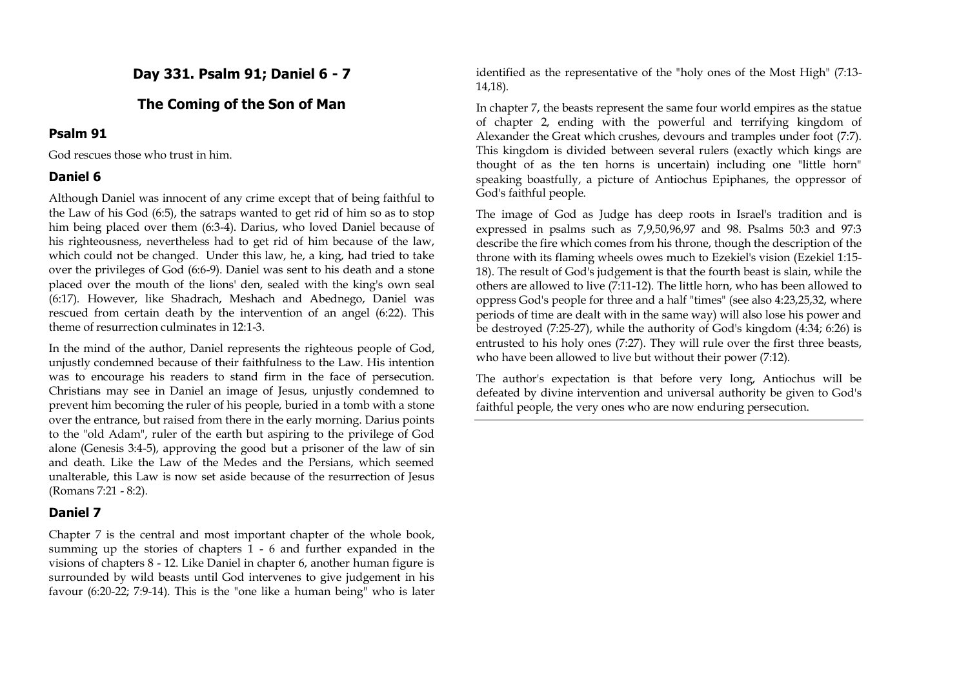# **Day 331. Psalm 91; Daniel 6 - 7**

# **The Coming of the Son of Man**

#### **Psalm 91**

God rescues those who trust in him.

# **Daniel 6**

Although Daniel was innocent of any crime except that of being faithful to the Law of his God (6:5), the satraps wanted to get rid of him so as to stop him being placed over them (6:3-4). Darius, who loved Daniel because of his righteousness, nevertheless had to get rid of him because of the law, which could not be changed. Under this law, he, a king, had tried to take over the privileges of God (6:6-9). Daniel was sent to his death and a stone placed over the mouth of the lions' den, sealed with the king's own seal (6:17). However, like Shadrach, Meshach and Abednego, Daniel was rescued from certain death by the intervention of an angel (6:22). This theme of resurrection culminates in 12:1-3.

In the mind of the author, Daniel represents the righteous people of God, unjustly condemned because of their faithfulness to the Law. His intention was to encourage his readers to stand firm in the face of persecution. Christians may see in Daniel an image of Jesus, unjustly condemned to prevent him becoming the ruler of his people, buried in a tomb with a stone over the entrance, but raised from there in the early morning. Darius points to the "old Adam", ruler of the earth but aspiring to the privilege of God alone (Genesis 3:4-5), approving the good but a prisoner of the law of sin and death. Like the Law of the Medes and the Persians, which seemed unalterable, this Law is now set aside because of the resurrection of Jesus (Romans 7:21 - 8:2).

# **Daniel 7**

Chapter 7 is the central and most important chapter of the whole book, summing up the stories of chapters 1 - 6 and further expanded in the visions of chapters 8 - 12. Like Daniel in chapter 6, another human figure is surrounded by wild beasts until God intervenes to give judgement in his favour (6:20-22; 7:9-14). This is the "one like a human being" who is later identified as the representative of the "holy ones of the Most High" (7:13- 14,18).

In chapter 7, the beasts represent the same four world empires as the statue of chapter 2, ending with the powerful and terrifying kingdom of Alexander the Great which crushes, devours and tramples under foot (7:7). This kingdom is divided between several rulers (exactly which kings are thought of as the ten horns is uncertain) including one "little horn" speaking boastfully, a picture of Antiochus Epiphanes, the oppressor of God's faithful people.

The image of God as Judge has deep roots in Israel's tradition and is expressed in psalms such as 7,9,50,96,97 and 98. Psalms 50:3 and 97:3 describe the fire which comes from his throne, though the description of the throne with its flaming wheels owes much to Ezekiel's vision (Ezekiel 1:15- 18). The result of God's judgement is that the fourth beast is slain, while the others are allowed to live (7:11-12). The little horn, who has been allowed to oppress God's people for three and a half "times" (see also 4:23,25,32, where periods of time are dealt with in the same way) will also lose his power and be destroyed (7:25-27), while the authority of God's kingdom (4:34; 6:26) is entrusted to his holy ones (7:27). They will rule over the first three beasts, who have been allowed to live but without their power (7:12).

The author's expectation is that before very long, Antiochus will be defeated by divine intervention and universal authority be given to God's faithful people, the very ones who are now enduring persecution.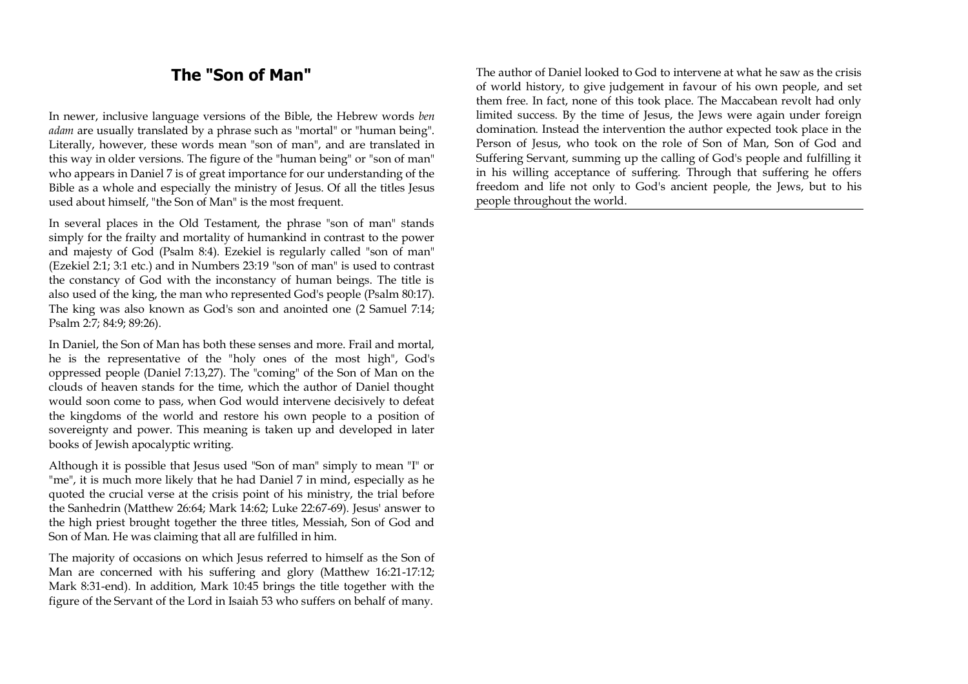# **The "Son of Man"**

In newer, inclusive language versions of the Bible, the Hebrew words *ben adam* are usually translated by a phrase such as "mortal" or "human being". Literally, however, these words mean "son of man", and are translated in this way in older versions. The figure of the "human being" or "son of man" who appears in Daniel 7 is of great importance for our understanding of the Bible as a whole and especially the ministry of Jesus. Of all the titles Jesus used about himself, "the Son of Man" is the most frequent.

In several places in the Old Testament, the phrase "son of man" stands simply for the frailty and mortality of humankind in contrast to the power and majesty of God (Psalm 8:4). Ezekiel is regularly called "son of man" (Ezekiel 2:1; 3:1 etc.) and in Numbers 23:19 "son of man" is used to contrast the constancy of God with the inconstancy of human beings. The title is also used of the king, the man who represented God's people (Psalm 80:17). The king was also known as God's son and anointed one (2 Samuel 7:14; Psalm 2:7; 84:9; 89:26).

In Daniel, the Son of Man has both these senses and more. Frail and mortal, he is the representative of the "holy ones of the most high", God's oppressed people (Daniel 7:13,27). The "coming" of the Son of Man on the clouds of heaven stands for the time, which the author of Daniel thought would soon come to pass, when God would intervene decisively to defeat the kingdoms of the world and restore his own people to a position of sovereignty and power. This meaning is taken up and developed in later books of Jewish apocalyptic writing.

Although it is possible that Jesus used "Son of man" simply to mean "I" or "me", it is much more likely that he had Daniel 7 in mind, especially as he quoted the crucial verse at the crisis point of his ministry, the trial before the Sanhedrin (Matthew 26:64; Mark 14:62; Luke 22:67-69). Jesus' answer to the high priest brought together the three titles, Messiah, Son of God and Son of Man. He was claiming that all are fulfilled in him.

The majority of occasions on which Jesus referred to himself as the Son of Man are concerned with his suffering and glory (Matthew 16:21-17:12; Mark 8:31-end). In addition, Mark 10:45 brings the title together with the figure of the Servant of the Lord in Isaiah 53 who suffers on behalf of many.

The author of Daniel looked to God to intervene at what he saw as the crisis of world history, to give judgement in favour of his own people, and set them free. In fact, none of this took place. The Maccabean revolt had only limited success. By the time of Jesus, the Jews were again under foreign domination. Instead the intervention the author expected took place in the Person of Jesus, who took on the role of Son of Man, Son of God and Suffering Servant, summing up the calling of God's people and fulfilling it in his willing acceptance of suffering. Through that suffering he offers freedom and life not only to God's ancient people, the Jews, but to his people throughout the world.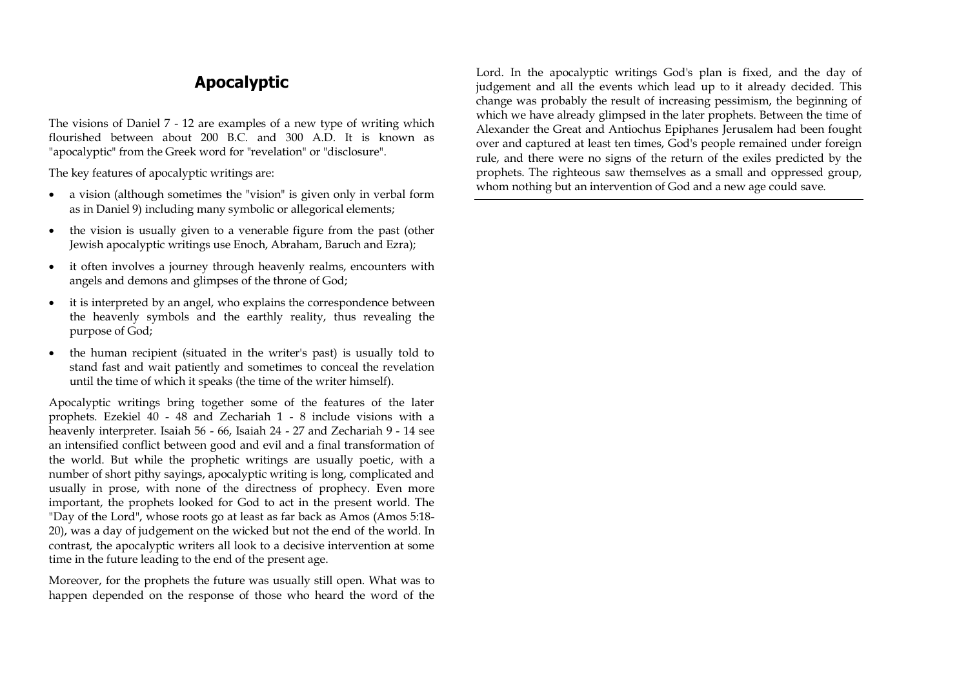# **Apocalyptic**

The visions of Daniel 7 - 12 are examples of a new type of writing which flourished between about 200 B.C. and 300 A.D. It is known as "apocalyptic" from the Greek word for "revelation" or "disclosure".

The key features of apocalyptic writings are:

- a vision (although sometimes the "vision" is given only in verbal form as in Daniel 9) including many symbolic or allegorical elements;
- the vision is usually given to a venerable figure from the past (other Jewish apocalyptic writings use Enoch, Abraham, Baruch and Ezra);
- it often involves a journey through heavenly realms, encounters with angels and demons and glimpses of the throne of God;
- it is interpreted by an angel, who explains the correspondence between the heavenly symbols and the earthly reality, thus revealing the purpose of God;
- the human recipient (situated in the writer's past) is usually told to stand fast and wait patiently and sometimes to conceal the revelation until the time of which it speaks (the time of the writer himself).

Apocalyptic writings bring together some of the features of the later prophets. Ezekiel 40 - 48 and Zechariah 1 - 8 include visions with a heavenly interpreter. Isaiah 56 - 66, Isaiah 24 - 27 and Zechariah 9 - 14 see an intensified conflict between good and evil and a final transformation of the world. But while the prophetic writings are usually poetic, with a number of short pithy sayings, apocalyptic writing is long, complicated and usually in prose, with none of the directness of prophecy. Even more important, the prophets looked for God to act in the present world. The "Day of the Lord", whose roots go at least as far back as Amos (Amos 5:18- 20), was a day of judgement on the wicked but not the end of the world. In contrast, the apocalyptic writers all look to a decisive intervention at some time in the future leading to the end of the present age.

Moreover, for the prophets the future was usually still open. What was to happen depended on the response of those who heard the word of the Lord. In the apocalyptic writings God's plan is fixed, and the day of judgement and all the events which lead up to it already decided. This change was probably the result of increasing pessimism, the beginning of which we have already glimpsed in the later prophets. Between the time of Alexander the Great and Antiochus Epiphanes Jerusalem had been fought over and captured at least ten times, God's people remained under foreign rule, and there were no signs of the return of the exiles predicted by the prophets. The righteous saw themselves as a small and oppressed group, whom nothing but an intervention of God and a new age could save.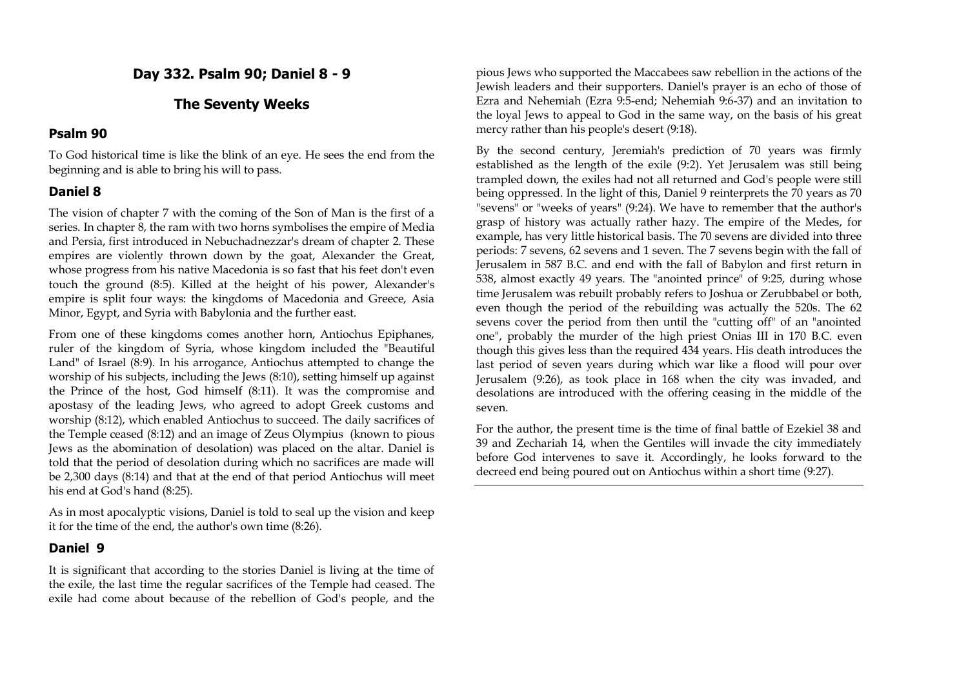# **Day 332. Psalm 90; Daniel 8 - 9**

# **The Seventy Weeks**

#### **Psalm 90**

To God historical time is like the blink of an eye. He sees the end from the beginning and is able to bring his will to pass.

# **Daniel 8**

The vision of chapter 7 with the coming of the Son of Man is the first of a series. In chapter 8, the ram with two horns symbolises the empire of Media and Persia, first introduced in Nebuchadnezzar's dream of chapter 2. These empires are violently thrown down by the goat, Alexander the Great, whose progress from his native Macedonia is so fast that his feet don't even touch the ground (8:5). Killed at the height of his power, Alexander's empire is split four ways: the kingdoms of Macedonia and Greece, Asia Minor, Egypt, and Syria with Babylonia and the further east.

From one of these kingdoms comes another horn, Antiochus Epiphanes, ruler of the kingdom of Syria, whose kingdom included the "Beautiful Land" of Israel (8:9). In his arrogance, Antiochus attempted to change the worship of his subjects, including the Jews (8:10), setting himself up against the Prince of the host, God himself (8:11). It was the compromise and apostasy of the leading Jews, who agreed to adopt Greek customs and worship (8:12), which enabled Antiochus to succeed. The daily sacrifices of the Temple ceased (8:12) and an image of Zeus Olympius (known to pious Jews as the abomination of desolation) was placed on the altar. Daniel is told that the period of desolation during which no sacrifices are made will be 2,300 days (8:14) and that at the end of that period Antiochus will meet his end at God's hand (8:25).

As in most apocalyptic visions, Daniel is told to seal up the vision and keep it for the time of the end, the author's own time (8:26).

# **Daniel 9**

It is significant that according to the stories Daniel is living at the time of the exile, the last time the regular sacrifices of the Temple had ceased. The exile had come about because of the rebellion of God's people, and the

pious Jews who supported the Maccabees saw rebellion in the actions of the Jewish leaders and their supporters. Daniel's prayer is an echo of those of Ezra and Nehemiah (Ezra 9:5-end; Nehemiah 9:6-37) and an invitation to the loyal Jews to appeal to God in the same way, on the basis of his great mercy rather than his people's desert (9:18).

By the second century, Jeremiah's prediction of 70 years was firmly established as the length of the exile (9:2). Yet Jerusalem was still being trampled down, the exiles had not all returned and God's people were still being oppressed. In the light of this, Daniel 9 reinterprets the 70 years as 70 "sevens" or "weeks of years" (9:24). We have to remember that the author's grasp of history was actually rather hazy. The empire of the Medes, for example, has very little historical basis. The 70 sevens are divided into three periods: 7 sevens, 62 sevens and 1 seven. The 7 sevens begin with the fall of Jerusalem in 587 B.C. and end with the fall of Babylon and first return in 538, almost exactly 49 years. The "anointed prince" of 9:25, during whose time Jerusalem was rebuilt probably refers to Joshua or Zerubbabel or both, even though the period of the rebuilding was actually the 520s. The 62 sevens cover the period from then until the "cutting off" of an "anointed one", probably the murder of the high priest Onias III in 170 B.C. even though this gives less than the required 434 years. His death introduces the last period of seven years during which war like a flood will pour over Jerusalem (9:26), as took place in 168 when the city was invaded, and desolations are introduced with the offering ceasing in the middle of the seven.

For the author, the present time is the time of final battle of Ezekiel 38 and 39 and Zechariah 14, when the Gentiles will invade the city immediately before God intervenes to save it. Accordingly, he looks forward to the decreed end being poured out on Antiochus within a short time (9:27).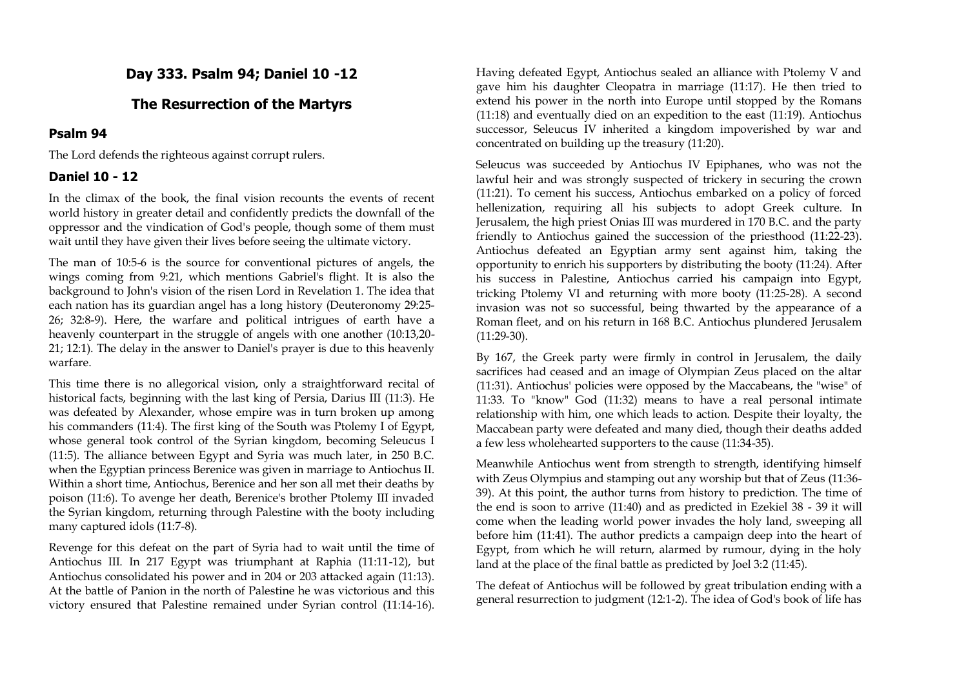# **Day 333. Psalm 94; Daniel 10 -12**

# **The Resurrection of the Martyrs**

#### **Psalm 94**

The Lord defends the righteous against corrupt rulers.

#### **Daniel 10 - 12**

In the climax of the book, the final vision recounts the events of recent world history in greater detail and confidently predicts the downfall of the oppressor and the vindication of God's people, though some of them must wait until they have given their lives before seeing the ultimate victory.

The man of 10:5-6 is the source for conventional pictures of angels, the wings coming from 9:21, which mentions Gabriel's flight. It is also the background to John's vision of the risen Lord in Revelation 1. The idea that each nation has its guardian angel has a long history (Deuteronomy 29:25- 26; 32:8-9). Here, the warfare and political intrigues of earth have a heavenly counterpart in the struggle of angels with one another (10:13,20- 21; 12:1). The delay in the answer to Daniel's prayer is due to this heavenly warfare.

This time there is no allegorical vision, only a straightforward recital of historical facts, beginning with the last king of Persia, Darius III (11:3). He was defeated by Alexander, whose empire was in turn broken up among his commanders (11:4). The first king of the South was Ptolemy I of Egypt, whose general took control of the Syrian kingdom, becoming Seleucus I (11:5). The alliance between Egypt and Syria was much later, in 250 B.C. when the Egyptian princess Berenice was given in marriage to Antiochus II. Within a short time, Antiochus, Berenice and her son all met their deaths by poison (11:6). To avenge her death, Berenice's brother Ptolemy III invaded the Syrian kingdom, returning through Palestine with the booty including many captured idols (11:7-8).

Revenge for this defeat on the part of Syria had to wait until the time of Antiochus III. In 217 Egypt was triumphant at Raphia (11:11-12), but Antiochus consolidated his power and in 204 or 203 attacked again (11:13). At the battle of Panion in the north of Palestine he was victorious and this victory ensured that Palestine remained under Syrian control (11:14-16).

Having defeated Egypt, Antiochus sealed an alliance with Ptolemy V and gave him his daughter Cleopatra in marriage (11:17). He then tried to extend his power in the north into Europe until stopped by the Romans (11:18) and eventually died on an expedition to the east (11:19). Antiochus successor, Seleucus IV inherited a kingdom impoverished by war and concentrated on building up the treasury (11:20).

Seleucus was succeeded by Antiochus IV Epiphanes, who was not the lawful heir and was strongly suspected of trickery in securing the crown (11:21). To cement his success, Antiochus embarked on a policy of forced hellenization, requiring all his subjects to adopt Greek culture. In Jerusalem, the high priest Onias III was murdered in 170 B.C. and the party friendly to Antiochus gained the succession of the priesthood (11:22-23). Antiochus defeated an Egyptian army sent against him, taking the opportunity to enrich his supporters by distributing the booty (11:24). After his success in Palestine, Antiochus carried his campaign into Egypt, tricking Ptolemy VI and returning with more booty (11:25-28). A second invasion was not so successful, being thwarted by the appearance of a Roman fleet, and on his return in 168 B.C. Antiochus plundered Jerusalem (11:29-30).

By 167, the Greek party were firmly in control in Jerusalem, the daily sacrifices had ceased and an image of Olympian Zeus placed on the altar (11:31). Antiochus' policies were opposed by the Maccabeans, the "wise" of 11:33. To "know" God (11:32) means to have a real personal intimate relationship with him, one which leads to action. Despite their loyalty, the Maccabean party were defeated and many died, though their deaths added a few less wholehearted supporters to the cause (11:34-35).

Meanwhile Antiochus went from strength to strength, identifying himself with Zeus Olympius and stamping out any worship but that of Zeus (11:36- 39). At this point, the author turns from history to prediction. The time of the end is soon to arrive (11:40) and as predicted in Ezekiel 38 - 39 it will come when the leading world power invades the holy land, sweeping all before him (11:41). The author predicts a campaign deep into the heart of Egypt, from which he will return, alarmed by rumour, dying in the holy land at the place of the final battle as predicted by Joel 3:2 (11:45).

The defeat of Antiochus will be followed by great tribulation ending with a general resurrection to judgment (12:1-2). The idea of God's book of life has